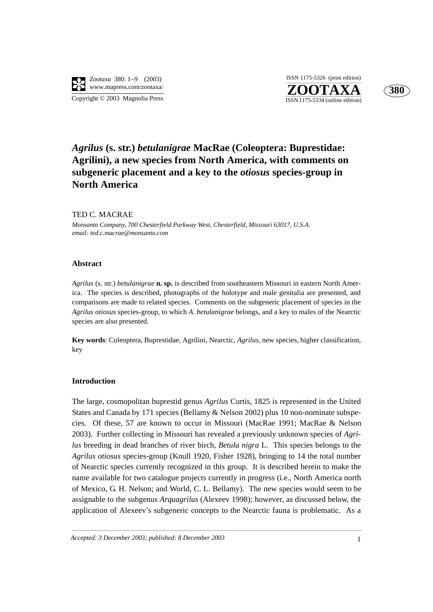

**ZOOTAXA**<br>ISSN 1175-5334 (online edition) ISSN 1175-5326 (print edition)



# *Agrilus* **(s. str.)** *betulanigrae* **MacRae (Coleoptera: Buprestidae: Agrilini), a new species from North America, with comments on subgeneric placement and a key to the** *otiosus* **species-group in North America**

# TED C. MACRAE

*Monsanto Company, 700 Chesterfield Parkway West, Chesterfield, Missouri 63017, U.S.A. email: ted.c.macrae@monsanto.com*

# **Abstract**

*Agrilus* (s. str.) *betulanigrae* **n. sp.** is described from southeastern Missouri in eastern North America. The species is described, photographs of the holotype and male genitalia are presented, and comparisons are made to related species. Comments on the subgeneric placement of species in the *Agrilus otiosus* species-group, to which *A. betulanigrae* belongs, and a key to males of the Nearctic species are also presented.

**Key words**: Coleoptera, Buprestidae, Agrilini, Nearctic, *Agrilus*, new species, higher classification, key

## **Introduction**

The large, cosmopolitan buprestid genus *Agrilus* Curtis, 1825 is represented in the United States and Canada by 171 species (Bellamy & Nelson 2002) plus 10 non-nominate subspecies. Of these, 57 are known to occur in Missouri (MacRae 1991; MacRae & Nelson 2003). Further collecting in Missouri has revealed a previously unknown species of *Agrilus* breeding in dead branches of river birch, *Betula nigra* L. This species belongs to the *Agrilus otiosus* species-group (Knull 1920, Fisher 1928), bringing to 14 the total number of Nearctic species currently recognized in this group. It is described herein to make the name available for two catalogue projects currently in progress (i.e., North America north of Mexico, G. H. Nelson; and World, C. L. Bellamy). The new species would seem to be assignable to the subgenus *Arquagrilus* (Alexeev 1998); however, as discussed below, the application of Alexeev's subgeneric concepts to the Nearctic fauna is problematic. As a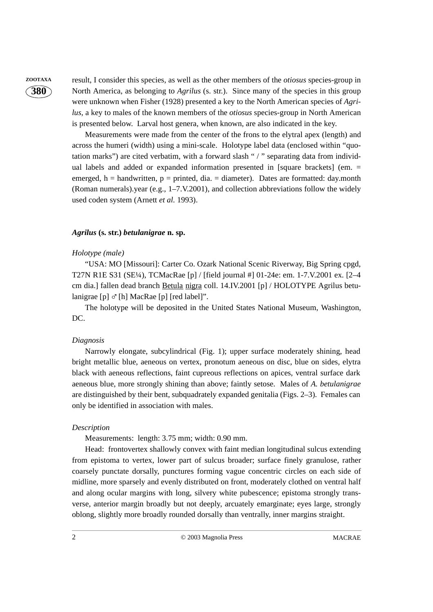**380**

**ZOOTAXA** result, I consider this species, as well as the other members of the *otiosus* species-group in North America, as belonging to *Agrilus* (s. str.). Since many of the species in this group were unknown when Fisher (1928) presented a key to the North American species of *Agrilus*, a key to males of the known members of the *otiosus* species-group in North American is presented below. Larval host genera, when known, are also indicated in the key.

> Measurements were made from the center of the frons to the elytral apex (length) and across the humeri (width) using a mini-scale. Holotype label data (enclosed within "quotation marks") are cited verbatim, with a forward slash " / " separating data from individual labels and added or expanded information presented in [square brackets] (em. = emerged,  $h =$  handwritten,  $p =$  printed, dia. = diameter). Dates are formatted: day.month (Roman numerals).year (e.g., 1–7.V.2001), and collection abbreviations follow the widely used coden system (Arnett *et al.* 1993).

# *Agrilus* **(s. str.)** *betulanigrae* **n. sp.**

# *Holotype (male)*

"USA: MO [Missouri]: Carter Co. Ozark National Scenic Riverway, Big Spring cpgd, T27N R1E S31 (SE¼), TCMacRae [p] / [field journal #] 01-24e: em. 1-7.V.2001 ex. [2–4 cm dia.] fallen dead branch Betula nigra coll. 14.IV.2001 [p] / HOLOTYPE Agrilus betulanigrae [p]  $\sigma$  [h] MacRae [p] [red label]".

The holotype will be deposited in the United States National Museum, Washington, DC.

## *Diagnosis*

Narrowly elongate, subcylindrical (Fig. 1); upper surface moderately shining, head bright metallic blue, aeneous on vertex, pronotum aeneous on disc, blue on sides, elytra black with aeneous reflections, faint cupreous reflections on apices, ventral surface dark aeneous blue, more strongly shining than above; faintly setose. Males of *A. betulanigrae* are distinguished by their bent, subquadrately expanded genitalia (Figs. 2–3). Females can only be identified in association with males.

## *Description*

Measurements: length: 3.75 mm; width: 0.90 mm.

Head: frontovertex shallowly convex with faint median longitudinal sulcus extending from epistoma to vertex, lower part of sulcus broader; surface finely granulose, rather coarsely punctate dorsally, punctures forming vague concentric circles on each side of midline, more sparsely and evenly distributed on front, moderately clothed on ventral half and along ocular margins with long, silvery white pubescence; epistoma strongly transverse, anterior margin broadly but not deeply, arcuately emarginate; eyes large, strongly oblong, slightly more broadly rounded dorsally than ventrally, inner margins straight.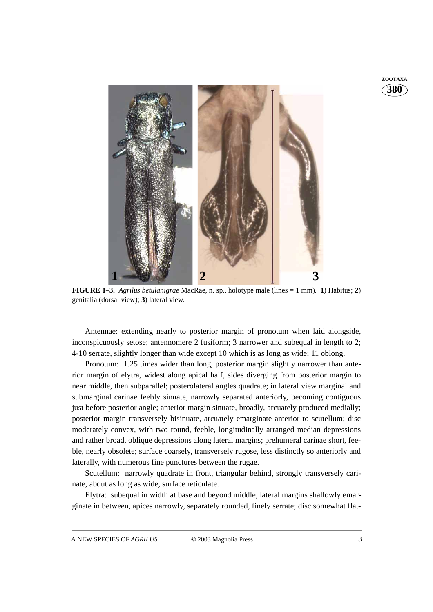



**FIGURE 1–3.** *Agrilus betulanigrae* MacRae, n. sp., holotype male (lines = 1 mm). **1**) Habitus; **2**) genitalia (dorsal view); **3**) lateral view.

Antennae: extending nearly to posterior margin of pronotum when laid alongside, inconspicuously setose; antennomere 2 fusiform; 3 narrower and subequal in length to 2; 4-10 serrate, slightly longer than wide except 10 which is as long as wide; 11 oblong.

Pronotum: 1.25 times wider than long, posterior margin slightly narrower than anterior margin of elytra, widest along apical half, sides diverging from posterior margin to near middle, then subparallel; posterolateral angles quadrate; in lateral view marginal and submarginal carinae feebly sinuate, narrowly separated anteriorly, becoming contiguous just before posterior angle; anterior margin sinuate, broadly, arcuately produced medially; posterior margin transversely bisinuate, arcuately emarginate anterior to scutellum; disc moderately convex, with two round, feeble, longitudinally arranged median depressions and rather broad, oblique depressions along lateral margins; prehumeral carinae short, feeble, nearly obsolete; surface coarsely, transversely rugose, less distinctly so anteriorly and laterally, with numerous fine punctures between the rugae.

Scutellum: narrowly quadrate in front, triangular behind, strongly transversely carinate, about as long as wide, surface reticulate.

Elytra: subequal in width at base and beyond middle, lateral margins shallowly emarginate in between, apices narrowly, separately rounded, finely serrate; disc somewhat flat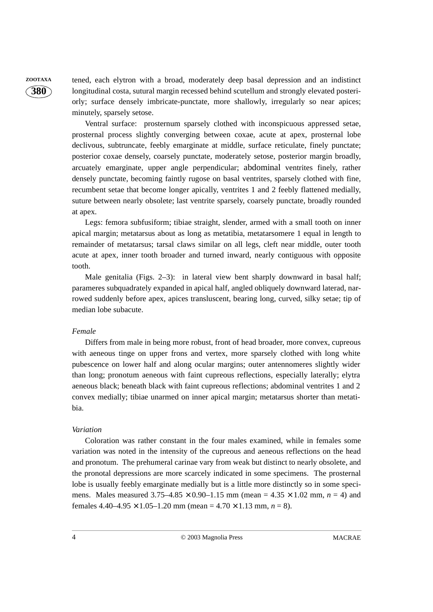**380**

**ZOOTAXA** tened, each elytron with a broad, moderately deep basal depression and an indistinct longitudinal costa, sutural margin recessed behind scutellum and strongly elevated posteriorly; surface densely imbricate-punctate, more shallowly, irregularly so near apices; minutely, sparsely setose.

> Ventral surface: prosternum sparsely clothed with inconspicuous appressed setae, prosternal process slightly converging between coxae, acute at apex, prosternal lobe declivous, subtruncate, feebly emarginate at middle, surface reticulate, finely punctate; posterior coxae densely, coarsely punctate, moderately setose, posterior margin broadly, arcuately emarginate, upper angle perpendicular; abdominal ventrites finely, rather densely punctate, becoming faintly rugose on basal ventrites, sparsely clothed with fine, recumbent setae that become longer apically, ventrites 1 and 2 feebly flattened medially, suture between nearly obsolete; last ventrite sparsely, coarsely punctate, broadly rounded at apex.

> Legs: femora subfusiform; tibiae straight, slender, armed with a small tooth on inner apical margin; metatarsus about as long as metatibia, metatarsomere 1 equal in length to remainder of metatarsus; tarsal claws similar on all legs, cleft near middle, outer tooth acute at apex, inner tooth broader and turned inward, nearly contiguous with opposite tooth.

> Male genitalia (Figs. 2–3): in lateral view bent sharply downward in basal half; parameres subquadrately expanded in apical half, angled obliquely downward laterad, narrowed suddenly before apex, apices transluscent, bearing long, curved, silky setae; tip of median lobe subacute.

# *Female*

Differs from male in being more robust, front of head broader, more convex, cupreous with aeneous tinge on upper frons and vertex, more sparsely clothed with long white pubescence on lower half and along ocular margins; outer antennomeres slightly wider than long; pronotum aeneous with faint cupreous reflections, especially laterally; elytra aeneous black; beneath black with faint cupreous reflections; abdominal ventrites 1 and 2 convex medially; tibiae unarmed on inner apical margin; metatarsus shorter than metatibia.

#### *Variation*

Coloration was rather constant in the four males examined, while in females some variation was noted in the intensity of the cupreous and aeneous reflections on the head and pronotum. The prehumeral carinae vary from weak but distinct to nearly obsolete, and the pronotal depressions are more scarcely indicated in some specimens. The prosternal lobe is usually feebly emarginate medially but is a little more distinctly so in some specimens. Males measured  $3.75-4.85 \times 0.90-1.15$  mm (mean =  $4.35 \times 1.02$  mm,  $n = 4$ ) and females  $4.40-4.95 \times 1.05-1.20$  mm (mean =  $4.70 \times 1.13$  mm,  $n = 8$ ).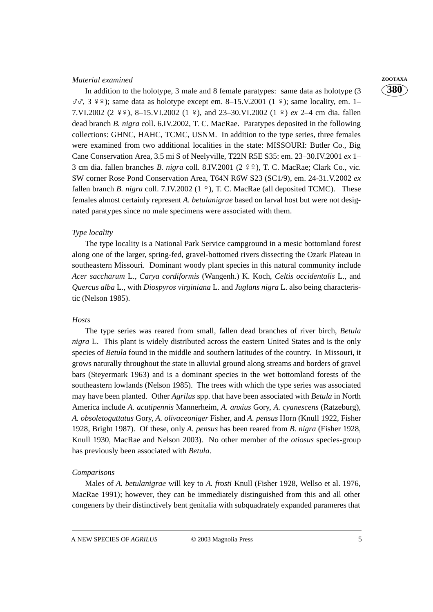# *Material examined* **ZOOTAXA**

In addition to the holotype, 3 male and 8 female paratypes: same data as holotype (3  $\sigma\sigma$ , 3  $\frac{9}{2}$ ); same data as holotype except em. 8–15.V.2001 (1  $\frac{9}{2}$ ); same locality, em. 1–<br>7 VL2002 (2  $\frac{9}{2}$ ),  $\frac{9}{2}$  15 VL2002 (1  $\frac{9}{2}$ ), and 22, 20 VL2002 (1  $\frac{9}{2}$ ), an 2 4 am die fallen 7.VI.2002 (2  $\frac{9}{2}$ , 8–15.VI.2002 (1  $\frac{2}{3}$ ), and 23–30.VI.2002 (1  $\frac{2}{3}$ ) *ex* 2–4 cm dia. fallen dead branch *B. nigra* coll. 6.IV.2002, T. C. MacRae. Paratypes deposited in the following collections: GHNC, HAHC, TCMC, USNM. In addition to the type series, three females were examined from two additional localities in the state: MISSOURI: Butler Co., Big Cane Conservation Area, 3.5 mi S of Neelyville, T22N R5E S35: em. 23–30.IV.2001 *ex* 1– 3 cm dia. fallen branches *B. nigra* coll. 8.IV.2001 (2 º º º), T. C. MacRae; Clark Co., vic.<br>SW comen Dage Dard Concentriate Assoc T64M D6W S22 (SG1/0), cm, 24.21 V2002, w -SW corner Rose Pond Conservation Area, T64N R6W S23 (SC1/9), em. 24-31.V.2002 *ex* fallen branch *B. nigra* coll. 7.IV.2002 (1  $\frac{9}{7}$ ), T. C. MacRae (all deposited TCMC). These females almost certainly represent *A. betulanigrae* based on larval host but were not designated paratypes since no male specimens were associated with them.

# *Type locality*

The type locality is a National Park Service campground in a mesic bottomland forest along one of the larger, spring-fed, gravel-bottomed rivers dissecting the Ozark Plateau in southeastern Missouri. Dominant woody plant species in this natural community include *Acer saccharum* L., *Carya cordiformis* (Wangenh.) K. Koch, *Celtis occidentalis* L., and *Quercus alba* L., with *Diospyros virginiana* L. and *Juglans nigra* L. also being characteristic (Nelson 1985).

#### *Hosts*

The type series was reared from small, fallen dead branches of river birch, *Betula nigra* L. This plant is widely distributed across the eastern United States and is the only species of *Betula* found in the middle and southern latitudes of the country. In Missouri, it grows naturally throughout the state in alluvial ground along streams and borders of gravel bars (Steyermark 1963) and is a dominant species in the wet bottomland forests of the southeastern lowlands (Nelson 1985). The trees with which the type series was associated may have been planted. Other *Agrilus* spp. that have been associated with *Betula* in North America include *A. acutipennis* Mannerheim, *A. anxius* Gory, *A. cyanescens* (Ratzeburg), *A. obsoletoguttatus* Gory, *A. olivaceoniger* Fisher, and *A. pensus* Horn (Knull 1922, Fisher 1928, Bright 1987). Of these, only *A. pensus* has been reared from *B. nigra* (Fisher 1928, Knull 1930, MacRae and Nelson 2003). No other member of the *otiosus* species-group has previously been associated with *Betula*.

## *Comparisons*

Males of *A. betulanigrae* will key to *A. frosti* Knull (Fisher 1928, Wellso et al. 1976, MacRae 1991); however, they can be immediately distinguished from this and all other congeners by their distinctively bent genitalia with subquadrately expanded parameres that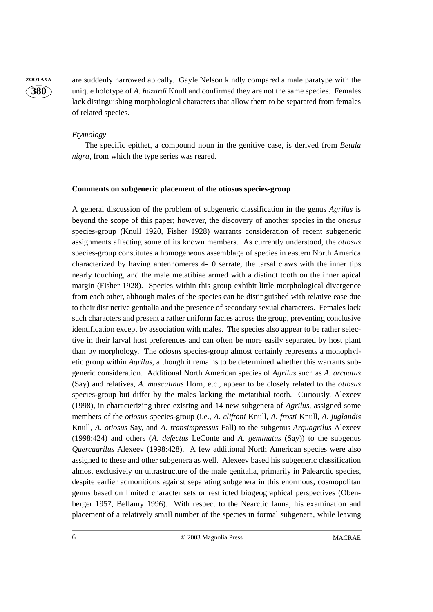

**ZOOTAXA** are suddenly narrowed apically. Gayle Nelson kindly compared a male paratype with the unique holotype of *A. hazardi* Knull and confirmed they are not the same species. Females lack distinguishing morphological characters that allow them to be separated from females of related species.

# *Etymology*

The specific epithet, a compound noun in the genitive case, is derived from *Betula nigra*, from which the type series was reared.

# **Comments on subgeneric placement of the otiosus species-group**

A general discussion of the problem of subgeneric classification in the genus *Agrilus* is beyond the scope of this paper; however, the discovery of another species in the *otiosus* species-group (Knull 1920, Fisher 1928) warrants consideration of recent subgeneric assignments affecting some of its known members. As currently understood, the *otiosus* species-group constitutes a homogeneous assemblage of species in eastern North America characterized by having antennomeres 4-10 serrate, the tarsal claws with the inner tips nearly touching, and the male metatibiae armed with a distinct tooth on the inner apical margin (Fisher 1928). Species within this group exhibit little morphological divergence from each other, although males of the species can be distinguished with relative ease due to their distinctive genitalia and the presence of secondary sexual characters. Females lack such characters and present a rather uniform facies across the group, preventing conclusive identification except by association with males. The species also appear to be rather selective in their larval host preferences and can often be more easily separated by host plant than by morphology. The *otiosus* species-group almost certainly represents a monophyletic group within *Agrilus*, although it remains to be determined whether this warrants subgeneric consideration. Additional North American species of *Agrilus* such as *A. arcuatus* (Say) and relatives, *A. masculinus* Horn, etc., appear to be closely related to the *otiosus* species-group but differ by the males lacking the metatibial tooth. Curiously, Alexeev (1998), in characterizing three existing and 14 new subgenera of *Agrilus*, assigned some members of the *otiosus* species-group (i.e., *A. cliftoni* Knull, *A. frosti* Knull, *A. juglandis* Knull, *A. otiosus* Say, and *A. transimpressus* Fall) to the subgenus *Arquagrilus* Alexeev (1998:424) and others (*A. defectus* LeConte and *A. geminatus* (Say)) to the subgenus *Quercagrilus* Alexeev (1998:428). A few additional North American species were also assigned to these and other subgenera as well. Alexeev based his subgeneric classification almost exclusively on ultrastructure of the male genitalia, primarily in Palearctic species, despite earlier admonitions against separating subgenera in this enormous, cosmopolitan genus based on limited character sets or restricted biogeographical perspectives (Obenberger 1957, Bellamy 1996). With respect to the Nearctic fauna, his examination and placement of a relatively small number of the species in formal subgenera, while leaving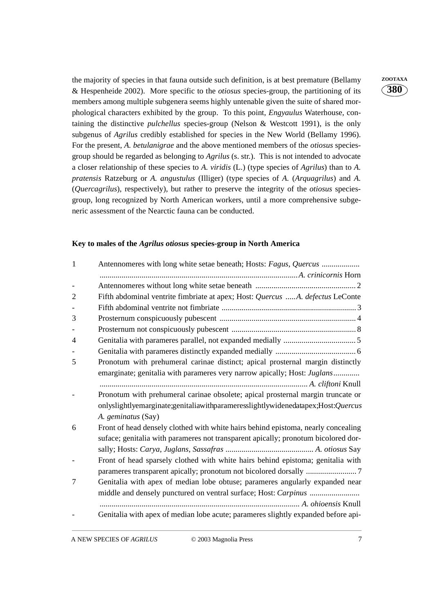the majority of species in that fauna outside such definition, is at best premature (Bellamy **ZOOTAXA** & Hespenheide 2002). More specific to the *otiosus* species-group, the partitioning of its members among multiple subgenera seems highly untenable given the suite of shared morphological characters exhibited by the group. To this point, *Engyaulus* Waterhouse, containing the distinctive *pulchellus* species-group (Nelson & Westcott 1991), is the only subgenus of *Agrilus* credibly established for species in the New World (Bellamy 1996). For the present, *A. betulanigrae* and the above mentioned members of the *otiosus* speciesgroup should be regarded as belonging to *Agrilus* (s. str.). This is not intended to advocate a closer relationship of these species to *A. viridis* (L.) (type species of *Agrilus*) than to *A. pratensis* Ratzeburg or *A. angustulus* (Illiger) (type species of *A.* (*Arquagrilus*) and *A.* (*Quercagrilus*), respectively), but rather to preserve the integrity of the *otiosus* speciesgroup, long recognized by North American workers, until a more comprehensive subgeneric assessment of the Nearctic fauna can be conducted.

# **Key to males of the** *Agrilus otiosus* **species-group in North America**

| $\mathbf{1}$   |                                                                                    |  |
|----------------|------------------------------------------------------------------------------------|--|
|                |                                                                                    |  |
|                |                                                                                    |  |
| $\overline{2}$ | Fifth abdominal ventrite fimbriate at apex; Host: Quercus A. defectus LeConte      |  |
|                |                                                                                    |  |
| 3              |                                                                                    |  |
|                |                                                                                    |  |
| $\overline{4}$ |                                                                                    |  |
|                |                                                                                    |  |
| 5              | Pronotum with prehumeral carinae distinct; apical prosternal margin distinctly     |  |
|                | emarginate; genitalia with parameres very narrow apically; Host: Juglans           |  |
|                |                                                                                    |  |
|                | Pronotum with prehumeral carinae obsolete; apical prosternal margin truncate or    |  |
|                | onlyslightlyemarginate;genitaliawithparameresslightlywidenedatapex;Host:Quercus    |  |
|                | A. geminatus (Say)                                                                 |  |
| 6              | Front of head densely clothed with white hairs behind epistoma, nearly concealing  |  |
|                | suface; genitalia with parameres not transparent apically; pronotum bicolored dor- |  |
|                |                                                                                    |  |
|                | Front of head sparsely clothed with white hairs behind epistoma; genitalia with    |  |
|                |                                                                                    |  |
| 7              | Genitalia with apex of median lobe obtuse; parameres angularly expanded near       |  |
|                |                                                                                    |  |
|                |                                                                                    |  |
|                | Genitalia with apex of median lobe acute; parameres slightly expanded before api-  |  |
|                |                                                                                    |  |

**380**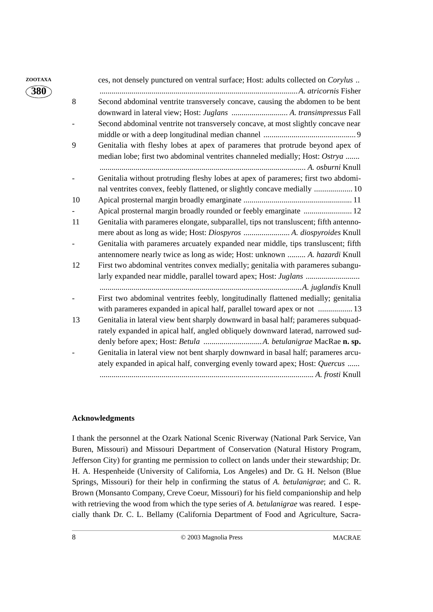| ZOOTAXA                  |    | ces, not densely punctured on ventral surface; Host: adults collected on Corylus      |
|--------------------------|----|---------------------------------------------------------------------------------------|
| $\mathbf{\widehat{380}}$ |    |                                                                                       |
|                          | 8  | Second abdominal ventrite transversely concave, causing the abdomen to be bent        |
|                          |    |                                                                                       |
|                          |    | Second abdominal ventrite not transversely concave, at most slightly concave near     |
|                          |    |                                                                                       |
|                          | 9  | Genitalia with fleshy lobes at apex of parameres that protrude beyond apex of         |
|                          |    | median lobe; first two abdominal ventrites channeled medially; Host: Ostrya           |
|                          |    |                                                                                       |
|                          |    | Genitalia without protruding fleshy lobes at apex of parameres; first two abdomi-     |
|                          |    | nal ventrites convex, feebly flattened, or slightly concave medially  10              |
|                          | 10 |                                                                                       |
|                          |    | Apical prosternal margin broadly rounded or feebly emarginate  12                     |
|                          | 11 | Genitalia with parameres elongate, subparallel, tips not transluscent; fifth antenno- |
|                          |    | mere about as long as wide; Host: Diospyros  A. diospyroides Knull                    |
|                          |    | Genitalia with parameres arcuately expanded near middle, tips transluscent; fifth     |
|                          |    | antennomere nearly twice as long as wide; Host: unknown  A. hazardi Knull             |
|                          | 12 | First two abdominal ventrites convex medially; genitalia with parameres subangu-      |
|                          |    |                                                                                       |
|                          |    |                                                                                       |
|                          |    | First two abdominal ventrites feebly, longitudinally flattened medially; genitalia    |
|                          |    | with parameres expanded in apical half, parallel toward apex or not  13               |
|                          | 13 | Genitalia in lateral view bent sharply downward in basal half; parameres subquad-     |
|                          |    | rately expanded in apical half, angled obliquely downward laterad, narrowed sud-      |
|                          |    |                                                                                       |
|                          |    | Genitalia in lateral view not bent sharply downward in basal half; parameres arcu-    |
|                          |    | ately expanded in apical half, converging evenly toward apex; Host: Quercus           |
|                          |    |                                                                                       |

# **Acknowledgments**

I thank the personnel at the Ozark National Scenic Riverway (National Park Service, Van Buren, Missouri) and Missouri Department of Conservation (Natural History Program, Jefferson City) for granting me permission to collect on lands under their stewardship; Dr. H. A. Hespenheide (University of California, Los Angeles) and Dr. G. H. Nelson (Blue Springs, Missouri) for their help in confirming the status of *A. betulanigrae*; and C. R. Brown (Monsanto Company, Creve Coeur, Missouri) for his field companionship and help with retrieving the wood from which the type series of *A. betulanigrae* was reared. I especially thank Dr. C. L. Bellamy (California Department of Food and Agriculture, Sacra